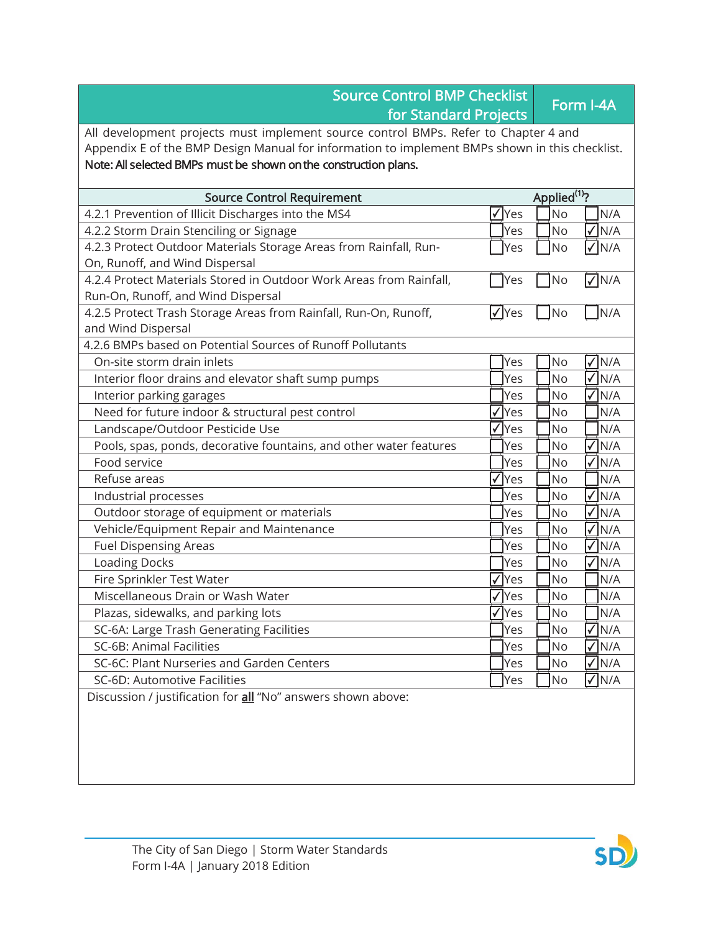| <b>Source Control BMP Checklist</b><br>for Standard Projects                                   |               | Form I-4A                  |  |
|------------------------------------------------------------------------------------------------|---------------|----------------------------|--|
| All development projects must implement source control BMPs. Refer to Chapter 4 and            |               |                            |  |
| Appendix E of the BMP Design Manual for information to implement BMPs shown in this checklist. |               |                            |  |
| Note: All selected BMPs must be shown on the construction plans.                               |               |                            |  |
| <b>Source Control Requirement</b>                                                              |               | Applied <sup>(1)</sup> ?   |  |
| 4.2.1 Prevention of Illicit Discharges into the MS4                                            | √∣Yes         | <b>No</b><br>N/A           |  |
| 4.2.2 Storm Drain Stenciling or Signage                                                        | Yes           | <b>No</b><br>$\sqrt{N/A}$  |  |
| 4.2.3 Protect Outdoor Materials Storage Areas from Rainfall, Run-                              | Yes           | $\sqrt{}$ N/A<br>No        |  |
| On, Runoff, and Wind Dispersal                                                                 |               |                            |  |
| 4.2.4 Protect Materials Stored in Outdoor Work Areas from Rainfall,                            | $\exists$ Yes | No<br>$\nabla$ N/A         |  |
| Run-On, Runoff, and Wind Dispersal                                                             |               |                            |  |
| 4.2.5 Protect Trash Storage Areas from Rainfall, Run-On, Runoff,                               | l√∣Yes        | N/A<br><b>No</b>           |  |
| and Wind Dispersal                                                                             |               |                            |  |
| 4.2.6 BMPs based on Potential Sources of Runoff Pollutants                                     |               |                            |  |
| On-site storm drain inlets                                                                     | Yes           | <b>No</b><br>$\sqrt{}$ N/A |  |
| Interior floor drains and elevator shaft sump pumps                                            | Yes           | <b>No</b><br>$\sqrt{}$ N/A |  |
| Interior parking garages                                                                       | Yes           | $\sqrt{}$ N/A<br><b>No</b> |  |
| Need for future indoor & structural pest control                                               | √ Yes         | <b>No</b><br>N/A           |  |
| Landscape/Outdoor Pesticide Use                                                                | $\sqrt{Y}$ es | <b>No</b><br>N/A           |  |
| Pools, spas, ponds, decorative fountains, and other water features                             | Yes           | $\sqrt{}$ N/A<br><b>No</b> |  |
| Food service                                                                                   | Yes           | $\sqrt{N/A}$<br><b>No</b>  |  |
| Refuse areas                                                                                   | $\sqrt{Y}$    | <b>No</b><br>N/A           |  |
| Industrial processes                                                                           | Yes           | V N/A<br><b>No</b>         |  |
| Outdoor storage of equipment or materials                                                      | Yes           | $\sqrt{}$ N/A<br><b>No</b> |  |
| Vehicle/Equipment Repair and Maintenance                                                       | Yes           | $\sqrt{}$ N/A<br><b>No</b> |  |
| <b>Fuel Dispensing Areas</b>                                                                   | Yes           | $\sqrt{N/A}$<br><b>No</b>  |  |
| <b>Loading Docks</b>                                                                           | Yes           | $\sqrt{}$ N/A<br>No        |  |
| Fire Sprinkler Test Water                                                                      | lYes          | <b>No</b><br>N/A           |  |
| Miscellaneous Drain or Wash Water                                                              | √ Yes         | No<br>N/A                  |  |
| Plazas, sidewalks, and parking lots                                                            | $\sqrt{Y}$ es | No<br>N/A                  |  |
| SC-6A: Large Trash Generating Facilities                                                       | Yes           | No<br>N/A                  |  |
| SC-6B: Animal Facilities                                                                       | Yes           | $\sqrt{N/A}$<br>No         |  |
| SC-6C: Plant Nurseries and Garden Centers                                                      | Yes           | $\sqrt{N/A}$<br>No         |  |
| SC-6D: Automotive Facilities                                                                   | Yes           | $\sqrt{N/A}$<br>No         |  |
| Discussion / justification for all "No" answers shown above:                                   |               |                            |  |
|                                                                                                |               |                            |  |
|                                                                                                |               |                            |  |
|                                                                                                |               |                            |  |